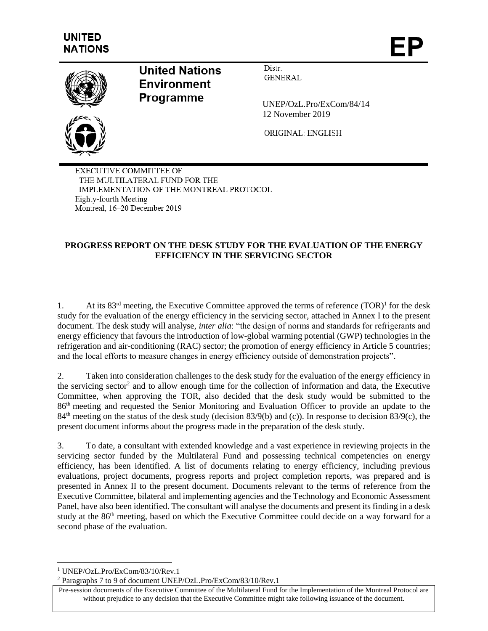

# **United Nations Environment Programme**

Distr. **GENERAL** 

UNEP/OzL.Pro/ExCom/84/14 12 November 2019

ORIGINAL: ENGLISH

**EXECUTIVE COMMITTEE OF** THE MULTILATERAL FUND FOR THE IMPLEMENTATION OF THE MONTREAL PROTOCOL Eighty-fourth Meeting Montreal, 16-20 December 2019

# **PROGRESS REPORT ON THE DESK STUDY FOR THE EVALUATION OF THE ENERGY EFFICIENCY IN THE SERVICING SECTOR**

1. At its 83<sup>rd</sup> meeting, the Executive Committee approved the terms of reference (TOR)<sup>1</sup> for the desk study for the evaluation of the energy efficiency in the servicing sector, attached in Annex I to the present document. The desk study will analyse, *inter alia*: "the design of norms and standards for refrigerants and energy efficiency that favours the introduction of low-global warming potential (GWP) technologies in the refrigeration and air-conditioning (RAC) sector; the promotion of energy efficiency in Article 5 countries; and the local efforts to measure changes in energy efficiency outside of demonstration projects".

2. Taken into consideration challenges to the desk study for the evaluation of the energy efficiency in the servicing sector<sup>2</sup> and to allow enough time for the collection of information and data, the Executive Committee, when approving the TOR, also decided that the desk study would be submitted to the 86th meeting and requested the Senior Monitoring and Evaluation Officer to provide an update to the 84<sup>th</sup> meeting on the status of the desk study (decision 83/9(b) and (c)). In response to decision 83/9(c), the present document informs about the progress made in the preparation of the desk study.

3. To date, a consultant with extended knowledge and a vast experience in reviewing projects in the servicing sector funded by the Multilateral Fund and possessing technical competencies on energy efficiency, has been identified. A list of documents relating to energy efficiency, including previous evaluations, project documents, progress reports and project completion reports, was prepared and is presented in Annex II to the present document. Documents relevant to the terms of reference from the Executive Committee, bilateral and implementing agencies and the Technology and Economic Assessment Panel, have also been identified. The consultant will analyse the documents and present its finding in a desk study at the 86<sup>th</sup> meeting, based on which the Executive Committee could decide on a way forward for a second phase of the evaluation.

 $\overline{\phantom{a}}$ 

<sup>1</sup> UNEP/OzL.Pro/ExCom/83/10/Rev.1

<sup>2</sup> Paragraphs 7 to 9 of document UNEP/OzL.Pro/ExCom/83/10/Rev.1

Pre-session documents of the Executive Committee of the Multilateral Fund for the Implementation of the Montreal Protocol are without prejudice to any decision that the Executive Committee might take following issuance of the document.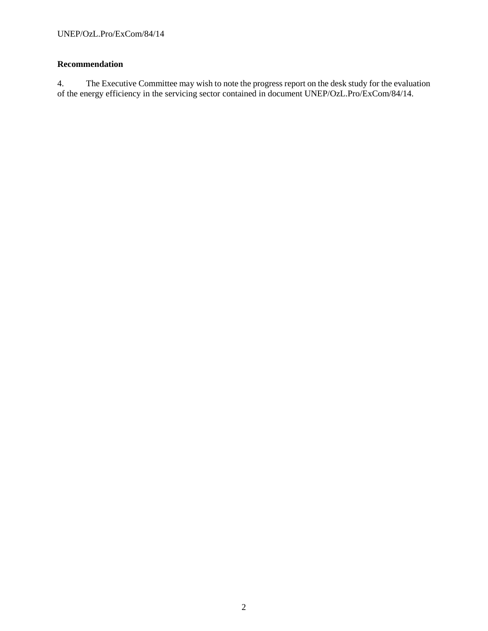## **Recommendation**

4. The Executive Committee may wish to note the progress report on the desk study for the evaluation of the energy efficiency in the servicing sector contained in document UNEP/OzL.Pro/ExCom/84/14.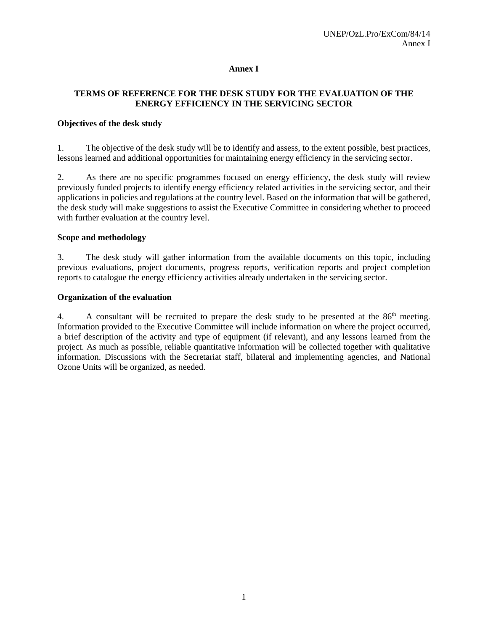#### **Annex I**

## **TERMS OF REFERENCE FOR THE DESK STUDY FOR THE EVALUATION OF THE ENERGY EFFICIENCY IN THE SERVICING SECTOR**

#### **Objectives of the desk study**

1. The objective of the desk study will be to identify and assess, to the extent possible, best practices, lessons learned and additional opportunities for maintaining energy efficiency in the servicing sector.

2. As there are no specific programmes focused on energy efficiency, the desk study will review previously funded projects to identify energy efficiency related activities in the servicing sector, and their applications in policies and regulations at the country level. Based on the information that will be gathered, the desk study will make suggestions to assist the Executive Committee in considering whether to proceed with further evaluation at the country level.

#### **Scope and methodology**

3. The desk study will gather information from the available documents on this topic, including previous evaluations, project documents, progress reports, verification reports and project completion reports to catalogue the energy efficiency activities already undertaken in the servicing sector.

#### **Organization of the evaluation**

4. A consultant will be recruited to prepare the desk study to be presented at the 86<sup>th</sup> meeting. Information provided to the Executive Committee will include information on where the project occurred, a brief description of the activity and type of equipment (if relevant), and any lessons learned from the project. As much as possible, reliable quantitative information will be collected together with qualitative information. Discussions with the Secretariat staff, bilateral and implementing agencies, and National Ozone Units will be organized, as needed.